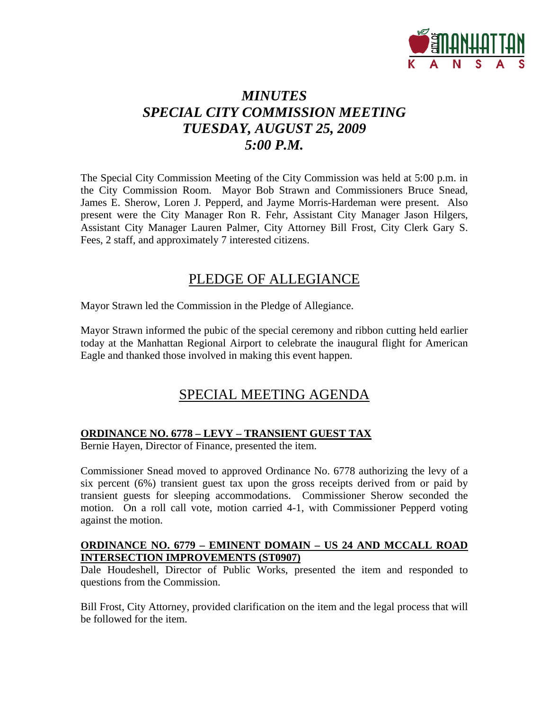

# *MINUTES SPECIAL CITY COMMISSION MEETING TUESDAY, AUGUST 25, 2009 5:00 P.M.*

The Special City Commission Meeting of the City Commission was held at 5:00 p.m. in the City Commission Room. Mayor Bob Strawn and Commissioners Bruce Snead, James E. Sherow, Loren J. Pepperd, and Jayme Morris-Hardeman were present. Also present were the City Manager Ron R. Fehr, Assistant City Manager Jason Hilgers, Assistant City Manager Lauren Palmer, City Attorney Bill Frost, City Clerk Gary S. Fees, 2 staff, and approximately 7 interested citizens.

## PLEDGE OF ALLEGIANCE

Mayor Strawn led the Commission in the Pledge of Allegiance.

Mayor Strawn informed the pubic of the special ceremony and ribbon cutting held earlier today at the Manhattan Regional Airport to celebrate the inaugural flight for American Eagle and thanked those involved in making this event happen.

## SPECIAL MEETING AGENDA

### **ORDINANCE NO. 6778 – LEVY – TRANSIENT GUEST TAX**

Bernie Hayen, Director of Finance, presented the item.

Commissioner Snead moved to approved Ordinance No. 6778 authorizing the levy of a six percent (6%) transient guest tax upon the gross receipts derived from or paid by transient guests for sleeping accommodations. Commissioner Sherow seconded the motion. On a roll call vote, motion carried 4-1, with Commissioner Pepperd voting against the motion.

### **ORDINANCE NO. 6779 – EMINENT DOMAIN – US 24 AND MCCALL ROAD INTERSECTION IMPROVEMENTS (ST0907)**

Dale Houdeshell, Director of Public Works, presented the item and responded to questions from the Commission.

Bill Frost, City Attorney, provided clarification on the item and the legal process that will be followed for the item.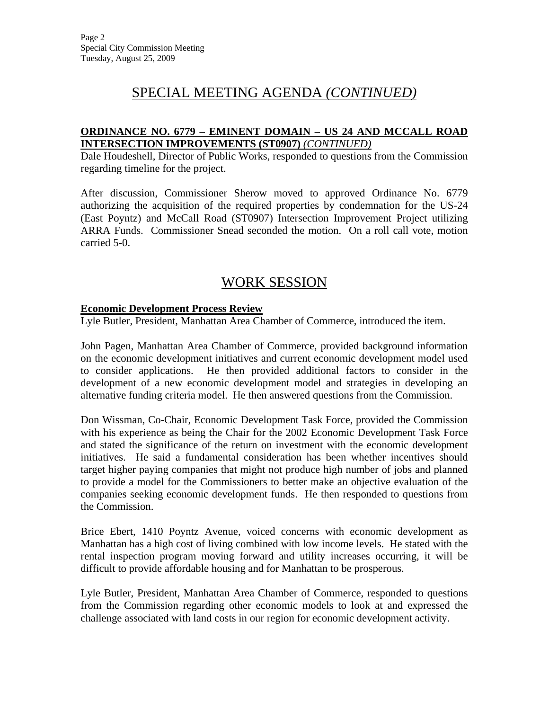# SPECIAL MEETING AGENDA *(CONTINUED)*

### **ORDINANCE NO. 6779 – EMINENT DOMAIN – US 24 AND MCCALL ROAD INTERSECTION IMPROVEMENTS (ST0907)** *(CONTINUED)*

Dale Houdeshell, Director of Public Works, responded to questions from the Commission regarding timeline for the project.

After discussion, Commissioner Sherow moved to approved Ordinance No. 6779 authorizing the acquisition of the required properties by condemnation for the US-24 (East Poyntz) and McCall Road (ST0907) Intersection Improvement Project utilizing ARRA Funds. Commissioner Snead seconded the motion. On a roll call vote, motion carried 5-0.

## WORK SESSION

#### **Economic Development Process Review**

Lyle Butler, President, Manhattan Area Chamber of Commerce, introduced the item.

John Pagen, Manhattan Area Chamber of Commerce, provided background information on the economic development initiatives and current economic development model used to consider applications. He then provided additional factors to consider in the development of a new economic development model and strategies in developing an alternative funding criteria model. He then answered questions from the Commission.

Don Wissman, Co-Chair, Economic Development Task Force, provided the Commission with his experience as being the Chair for the 2002 Economic Development Task Force and stated the significance of the return on investment with the economic development initiatives. He said a fundamental consideration has been whether incentives should target higher paying companies that might not produce high number of jobs and planned to provide a model for the Commissioners to better make an objective evaluation of the companies seeking economic development funds. He then responded to questions from the Commission.

Brice Ebert, 1410 Poyntz Avenue, voiced concerns with economic development as Manhattan has a high cost of living combined with low income levels. He stated with the rental inspection program moving forward and utility increases occurring, it will be difficult to provide affordable housing and for Manhattan to be prosperous.

Lyle Butler, President, Manhattan Area Chamber of Commerce, responded to questions from the Commission regarding other economic models to look at and expressed the challenge associated with land costs in our region for economic development activity.